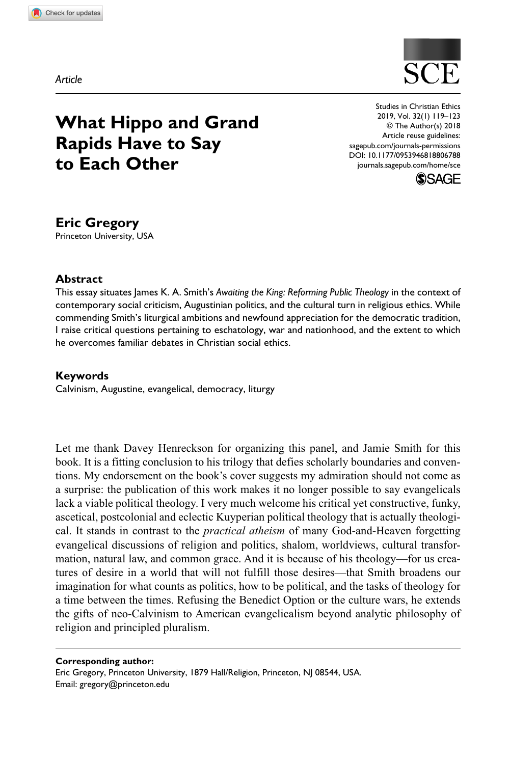*Article*

**8067[88](http://crossmark.crossref.org/dialog/?doi=10.1177%2F0953946818806788&domain=pdf&date_stamp=2018-10-17)**SCE0010.1177/0953946818806788Studies in Christian Ethics**Gregory**

# **What Hippo and Grand Rapids Have to Say to Each Other**

DOI: 10.1177/0953946818806788 Studies in Christian Ethics 2019, Vol. 32(1) 119–123 © The Author(s) 2018 Article reuse guidelines: [sagepub.com/journals-permissions](https://uk.sagepub.com/en-gb/journals-permissions) [journals.sagepub.com/home/sce](https://journals.sagepub.com/home/sce)



**Eric Gregory** Princeton University, USA

### **Abstract**

This essay situates James K. A. Smith's *Awaiting the King: Reforming Public Theology* in the context of contemporary social criticism, Augustinian politics, and the cultural turn in religious ethics. While commending Smith's liturgical ambitions and newfound appreciation for the democratic tradition, I raise critical questions pertaining to eschatology, war and nationhood, and the extent to which he overcomes familiar debates in Christian social ethics.

#### **Keywords**

Calvinism, Augustine, evangelical, democracy, liturgy

Let me thank Davey Henreckson for organizing this panel, and Jamie Smith for this book. It is a fitting conclusion to his trilogy that defies scholarly boundaries and conventions. My endorsement on the book's cover suggests my admiration should not come as a surprise: the publication of this work makes it no longer possible to say evangelicals lack a viable political theology. I very much welcome his critical yet constructive, funky, ascetical, postcolonial and eclectic Kuyperian political theology that is actually theological. It stands in contrast to the *practical atheism* of many God-and-Heaven forgetting evangelical discussions of religion and politics, shalom, worldviews, cultural transformation, natural law, and common grace. And it is because of his theology—for us creatures of desire in a world that will not fulfill those desires—that Smith broadens our imagination for what counts as politics, how to be political, and the tasks of theology for a time between the times. Refusing the Benedict Option or the culture wars, he extends the gifts of neo-Calvinism to American evangelicalism beyond analytic philosophy of religion and principled pluralism.

**Corresponding author:** Eric Gregory, Princeton University, 1879 Hall/Religion, Princeton, NJ 08544, USA. Email: [gregory@princeton.edu](mailto:gregory@princeton.edu)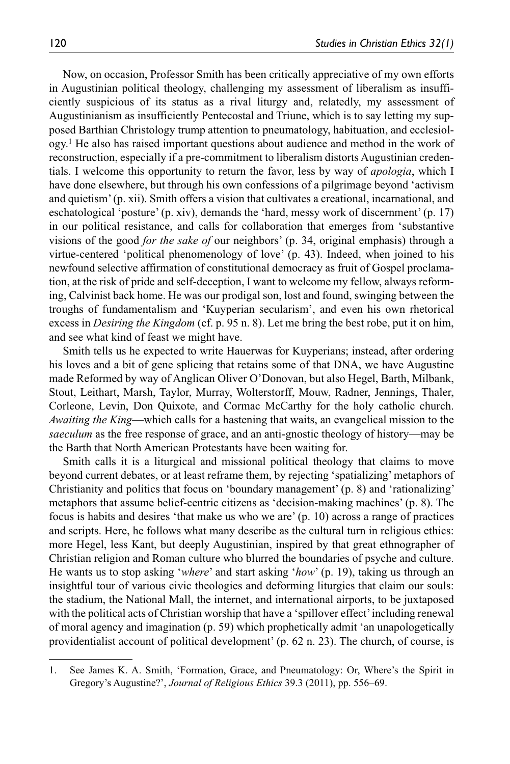Now, on occasion, Professor Smith has been critically appreciative of my own efforts in Augustinian political theology, challenging my assessment of liberalism as insufficiently suspicious of its status as a rival liturgy and, relatedly, my assessment of Augustinianism as insufficiently Pentecostal and Triune, which is to say letting my supposed Barthian Christology trump attention to pneumatology, habituation, and ecclesiology.1 He also has raised important questions about audience and method in the work of reconstruction, especially if a pre-commitment to liberalism distorts Augustinian credentials. I welcome this opportunity to return the favor, less by way of *apologia*, which I have done elsewhere, but through his own confessions of a pilgrimage beyond 'activism and quietism' (p. xii). Smith offers a vision that cultivates a creational, incarnational, and eschatological 'posture' (p. xiv), demands the 'hard, messy work of discernment' (p. 17) in our political resistance, and calls for collaboration that emerges from 'substantive visions of the good *for the sake of* our neighbors' (p. 34, original emphasis) through a virtue-centered 'political phenomenology of love' (p. 43). Indeed, when joined to his newfound selective affirmation of constitutional democracy as fruit of Gospel proclamation, at the risk of pride and self-deception, I want to welcome my fellow, always reforming, Calvinist back home. He was our prodigal son, lost and found, swinging between the troughs of fundamentalism and 'Kuyperian secularism', and even his own rhetorical excess in *Desiring the Kingdom* (cf. p. 95 n. 8). Let me bring the best robe, put it on him, and see what kind of feast we might have.

Smith tells us he expected to write Hauerwas for Kuyperians; instead, after ordering his loves and a bit of gene splicing that retains some of that DNA, we have Augustine made Reformed by way of Anglican Oliver O'Donovan, but also Hegel, Barth, Milbank, Stout, Leithart, Marsh, Taylor, Murray, Wolterstorff, Mouw, Radner, Jennings, Thaler, Corleone, Levin, Don Quixote, and Cormac McCarthy for the holy catholic church. *Awaiting the King*—which calls for a hastening that waits, an evangelical mission to the *saeculum* as the free response of grace, and an anti-gnostic theology of history—may be the Barth that North American Protestants have been waiting for.

Smith calls it is a liturgical and missional political theology that claims to move beyond current debates, or at least reframe them, by rejecting 'spatializing' metaphors of Christianity and politics that focus on 'boundary management' (p. 8) and 'rationalizing' metaphors that assume belief-centric citizens as 'decision-making machines' (p. 8). The focus is habits and desires 'that make us who we are' (p. 10) across a range of practices and scripts. Here, he follows what many describe as the cultural turn in religious ethics: more Hegel, less Kant, but deeply Augustinian, inspired by that great ethnographer of Christian religion and Roman culture who blurred the boundaries of psyche and culture. He wants us to stop asking '*where*' and start asking '*how*' (p. 19), taking us through an insightful tour of various civic theologies and deforming liturgies that claim our souls: the stadium, the National Mall, the internet, and international airports, to be juxtaposed with the political acts of Christian worship that have a 'spillover effect' including renewal of moral agency and imagination (p. 59) which prophetically admit 'an unapologetically providentialist account of political development' (p. 62 n. 23). The church, of course, is

<sup>1.</sup> See James K. A. Smith, 'Formation, Grace, and Pneumatology: Or, Where's the Spirit in Gregory's Augustine?', *Journal of Religious Ethics* 39.3 (2011), pp. 556–69.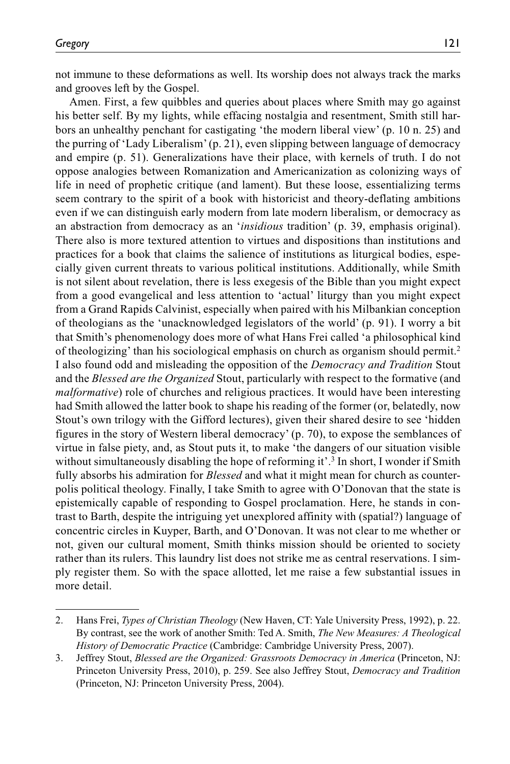not immune to these deformations as well. Its worship does not always track the marks and grooves left by the Gospel.

Amen. First, a few quibbles and queries about places where Smith may go against his better self. By my lights, while effacing nostalgia and resentment, Smith still harbors an unhealthy penchant for castigating 'the modern liberal view' (p. 10 n. 25) and the purring of 'Lady Liberalism' (p. 21), even slipping between language of democracy and empire (p. 51). Generalizations have their place, with kernels of truth. I do not oppose analogies between Romanization and Americanization as colonizing ways of life in need of prophetic critique (and lament). But these loose, essentializing terms seem contrary to the spirit of a book with historicist and theory-deflating ambitions even if we can distinguish early modern from late modern liberalism, or democracy as an abstraction from democracy as an '*insidious* tradition' (p. 39, emphasis original). There also is more textured attention to virtues and dispositions than institutions and practices for a book that claims the salience of institutions as liturgical bodies, especially given current threats to various political institutions. Additionally, while Smith is not silent about revelation, there is less exegesis of the Bible than you might expect from a good evangelical and less attention to 'actual' liturgy than you might expect from a Grand Rapids Calvinist, especially when paired with his Milbankian conception of theologians as the 'unacknowledged legislators of the world' (p. 91). I worry a bit that Smith's phenomenology does more of what Hans Frei called 'a philosophical kind of theologizing' than his sociological emphasis on church as organism should permit.2 I also found odd and misleading the opposition of the *Democracy and Tradition* Stout and the *Blessed are the Organized* Stout, particularly with respect to the formative (and *malformative*) role of churches and religious practices. It would have been interesting had Smith allowed the latter book to shape his reading of the former (or, belatedly, now Stout's own trilogy with the Gifford lectures), given their shared desire to see 'hidden figures in the story of Western liberal democracy' (p. 70), to expose the semblances of virtue in false piety, and, as Stout puts it, to make 'the dangers of our situation visible without simultaneously disabling the hope of reforming it'.<sup>3</sup> In short, I wonder if Smith fully absorbs his admiration for *Blessed* and what it might mean for church as counterpolis political theology. Finally, I take Smith to agree with O'Donovan that the state is epistemically capable of responding to Gospel proclamation. Here, he stands in contrast to Barth, despite the intriguing yet unexplored affinity with (spatial?) language of concentric circles in Kuyper, Barth, and O'Donovan. It was not clear to me whether or not, given our cultural moment, Smith thinks mission should be oriented to society rather than its rulers. This laundry list does not strike me as central reservations. I simply register them. So with the space allotted, let me raise a few substantial issues in more detail.

<sup>2.</sup> Hans Frei, *Types of Christian Theology* (New Haven, CT: Yale University Press, 1992), p. 22. By contrast, see the work of another Smith: Ted A. Smith, *The New Measures: A Theological History of Democratic Practice* (Cambridge: Cambridge University Press, 2007).

<sup>3.</sup> Jeffrey Stout, *Blessed are the Organized: Grassroots Democracy in America* (Princeton, NJ: Princeton University Press, 2010), p. 259. See also Jeffrey Stout, *Democracy and Tradition* (Princeton, NJ: Princeton University Press, 2004).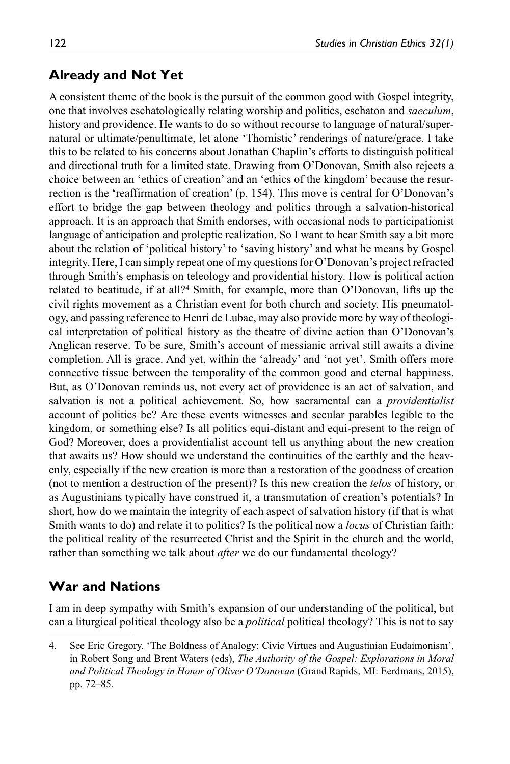## **Already and Not Yet**

A consistent theme of the book is the pursuit of the common good with Gospel integrity, one that involves eschatologically relating worship and politics, eschaton and *saeculum*, history and providence. He wants to do so without recourse to language of natural/supernatural or ultimate/penultimate, let alone 'Thomistic' renderings of nature/grace. I take this to be related to his concerns about Jonathan Chaplin's efforts to distinguish political and directional truth for a limited state. Drawing from O'Donovan, Smith also rejects a choice between an 'ethics of creation' and an 'ethics of the kingdom' because the resurrection is the 'reaffirmation of creation' (p. 154). This move is central for O'Donovan's effort to bridge the gap between theology and politics through a salvation-historical approach. It is an approach that Smith endorses, with occasional nods to participationist language of anticipation and proleptic realization. So I want to hear Smith say a bit more about the relation of 'political history' to 'saving history' and what he means by Gospel integrity. Here, I can simply repeat one of my questions for O'Donovan's project refracted through Smith's emphasis on teleology and providential history. How is political action related to beatitude, if at all?4 Smith, for example, more than O'Donovan, lifts up the civil rights movement as a Christian event for both church and society. His pneumatology, and passing reference to Henri de Lubac, may also provide more by way of theological interpretation of political history as the theatre of divine action than O'Donovan's Anglican reserve. To be sure, Smith's account of messianic arrival still awaits a divine completion. All is grace. And yet, within the 'already' and 'not yet', Smith offers more connective tissue between the temporality of the common good and eternal happiness. But, as O'Donovan reminds us, not every act of providence is an act of salvation, and salvation is not a political achievement. So, how sacramental can a *providentialist* account of politics be? Are these events witnesses and secular parables legible to the kingdom, or something else? Is all politics equi-distant and equi-present to the reign of God? Moreover, does a providentialist account tell us anything about the new creation that awaits us? How should we understand the continuities of the earthly and the heavenly, especially if the new creation is more than a restoration of the goodness of creation (not to mention a destruction of the present)? Is this new creation the *telos* of history, or as Augustinians typically have construed it, a transmutation of creation's potentials? In short, how do we maintain the integrity of each aspect of salvation history (if that is what Smith wants to do) and relate it to politics? Is the political now a *locus* of Christian faith: the political reality of the resurrected Christ and the Spirit in the church and the world, rather than something we talk about *after* we do our fundamental theology?

# **War and Nations**

I am in deep sympathy with Smith's expansion of our understanding of the political, but can a liturgical political theology also be a *political* political theology? This is not to say

<sup>4.</sup> See Eric Gregory, 'The Boldness of Analogy: Civic Virtues and Augustinian Eudaimonism', in Robert Song and Brent Waters (eds), *The Authority of the Gospel: Explorations in Moral and Political Theology in Honor of Oliver O'Donovan* (Grand Rapids, MI: Eerdmans, 2015), pp. 72–85.